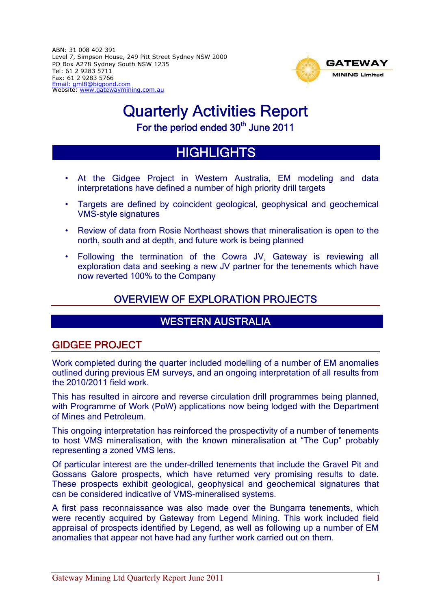ABN: 31 008 402 391 Level 7, Simpson House, 249 Pitt Street Sydney NSW 2000 PO Box A278 Sydney South NSW 1235 Tel: 61 2 9283 5711 Fax: 61 2 9283 5766 Email: gml8@bigpond.com Website: www.gatewaymining.com.au



# Quarterly Activities Report

For the period ended 30<sup>th</sup> June 2011

## **HIGHLIGHTS**

- At the Gidgee Project in Western Australia, EM modeling and data interpretations have defined a number of high priority drill targets
- Targets are defined by coincident geological, geophysical and geochemical VMS-style signatures
- Review of data from Rosie Northeast shows that mineralisation is open to the north, south and at depth, and future work is being planned
- Following the termination of the Cowra JV, Gateway is reviewing all exploration data and seeking a new JV partner for the tenements which have now reverted 100% to the Company

## OVERVIEW OF EXPLORATION PROJECTS

## WESTERN AUSTRALIA

## GIDGEE PROJECT

Work completed during the quarter included modelling of a number of EM anomalies outlined during previous EM surveys, and an ongoing interpretation of all results from the 2010/2011 field work.

This has resulted in aircore and reverse circulation drill programmes being planned, with Programme of Work (PoW) applications now being lodged with the Department of Mines and Petroleum.

This ongoing interpretation has reinforced the prospectivity of a number of tenements to host VMS mineralisation, with the known mineralisation at "The Cup" probably representing a zoned VMS lens.

Of particular interest are the under-drilled tenements that include the Gravel Pit and Gossans Galore prospects, which have returned very promising results to date. These prospects exhibit geological, geophysical and geochemical signatures that can be considered indicative of VMS-mineralised systems.

A first pass reconnaissance was also made over the Bungarra tenements, which were recently acquired by Gateway from Legend Mining. This work included field appraisal of prospects identified by Legend, as well as following up a number of EM anomalies that appear not have had any further work carried out on them.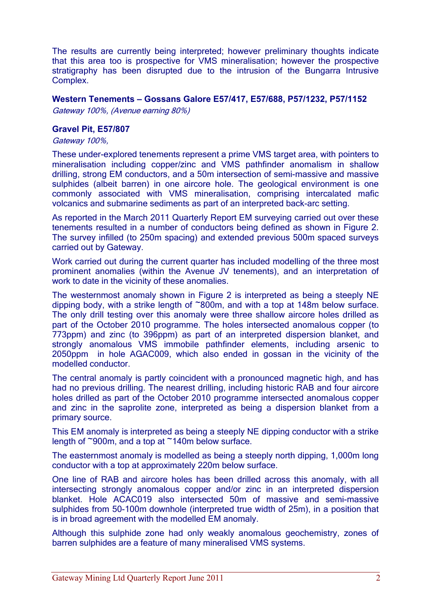The results are currently being interpreted; however preliminary thoughts indicate that this area too is prospective for VMS mineralisation; however the prospective stratigraphy has been disrupted due to the intrusion of the Bungarra Intrusive Complex.

#### **Western Tenements – Gossans Galore E57/417, E57/688, P57/1232, P57/1152**

Gateway 100%, (Avenue earning 80%)

#### **Gravel Pit, E57/807**

#### Gateway 100%,

These under-explored tenements represent a prime VMS target area, with pointers to mineralisation including copper/zinc and VMS pathfinder anomalism in shallow drilling, strong EM conductors, and a 50m intersection of semi-massive and massive sulphides (albeit barren) in one aircore hole. The geological environment is one commonly associated with VMS mineralisation, comprising intercalated mafic volcanics and submarine sediments as part of an interpreted back-arc setting.

As reported in the March 2011 Quarterly Report EM surveying carried out over these tenements resulted in a number of conductors being defined as shown in Figure 2. The survey infilled (to 250m spacing) and extended previous 500m spaced surveys carried out by Gateway.

Work carried out during the current quarter has included modelling of the three most prominent anomalies (within the Avenue JV tenements), and an interpretation of work to date in the vicinity of these anomalies.

The westernmost anomaly shown in Figure 2 is interpreted as being a steeply NE dipping body, with a strike length of ~800m, and with a top at 148m below surface. The only drill testing over this anomaly were three shallow aircore holes drilled as part of the October 2010 programme. The holes intersected anomalous copper (to 773ppm) and zinc (to 396ppm) as part of an interpreted dispersion blanket, and strongly anomalous VMS immobile pathfinder elements, including arsenic to 2050ppm in hole AGAC009, which also ended in gossan in the vicinity of the modelled conductor.

The central anomaly is partly coincident with a pronounced magnetic high, and has had no previous drilling. The nearest drilling, including historic RAB and four aircore holes drilled as part of the October 2010 programme intersected anomalous copper and zinc in the saprolite zone, interpreted as being a dispersion blanket from a primary source.

This EM anomaly is interpreted as being a steeply NE dipping conductor with a strike length of ~900m, and a top at ~140m below surface.

The easternmost anomaly is modelled as being a steeply north dipping, 1,000m long conductor with a top at approximately 220m below surface.

One line of RAB and aircore holes has been drilled across this anomaly, with all intersecting strongly anomalous copper and/or zinc in an interpreted dispersion blanket. Hole ACAC019 also intersected 50m of massive and semi-massive sulphides from 50-100m downhole (interpreted true width of 25m), in a position that is in broad agreement with the modelled EM anomaly.

Although this sulphide zone had only weakly anomalous geochemistry, zones of barren sulphides are a feature of many mineralised VMS systems.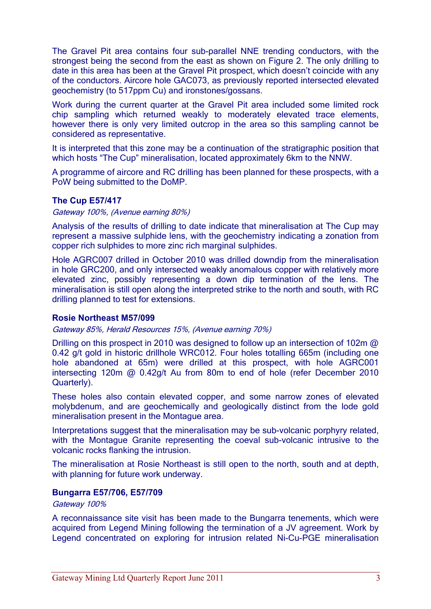The Gravel Pit area contains four sub-parallel NNE trending conductors, with the strongest being the second from the east as shown on Figure 2. The only drilling to date in this area has been at the Gravel Pit prospect, which doesn't coincide with any of the conductors. Aircore hole GAC073, as previously reported intersected elevated geochemistry (to 517ppm Cu) and ironstones/gossans.

Work during the current quarter at the Gravel Pit area included some limited rock chip sampling which returned weakly to moderately elevated trace elements, however there is only very limited outcrop in the area so this sampling cannot be considered as representative.

It is interpreted that this zone may be a continuation of the stratigraphic position that which hosts "The Cup" mineralisation, located approximately 6km to the NNW.

A programme of aircore and RC drilling has been planned for these prospects, with a PoW being submitted to the DoMP.

#### **The Cup E57/417**

Gateway 100%, (Avenue earning 80%)

Analysis of the results of drilling to date indicate that mineralisation at The Cup may represent a massive sulphide lens, with the geochemistry indicating a zonation from copper rich sulphides to more zinc rich marginal sulphides.

Hole AGRC007 drilled in October 2010 was drilled downdip from the mineralisation in hole GRC200, and only intersected weakly anomalous copper with relatively more elevated zinc, possibly representing a down dip termination of the lens. The mineralisation is still open along the interpreted strike to the north and south, with RC drilling planned to test for extensions.

#### **Rosie Northeast M57/099**

Gateway 85%, Herald Resources 15%, (Avenue earning 70%)

Drilling on this prospect in 2010 was designed to follow up an intersection of 102m  $\omega$ 0.42 g/t gold in historic drillhole WRC012. Four holes totalling 665m (including one hole abandoned at 65m) were drilled at this prospect, with hole AGRC001 intersecting 120m @ 0.42g/t Au from 80m to end of hole (refer December 2010 Quarterly).

These holes also contain elevated copper, and some narrow zones of elevated molybdenum, and are geochemically and geologically distinct from the lode gold mineralisation present in the Montague area.

Interpretations suggest that the mineralisation may be sub-volcanic porphyry related, with the Montague Granite representing the coeval sub-volcanic intrusive to the volcanic rocks flanking the intrusion.

The mineralisation at Rosie Northeast is still open to the north, south and at depth, with planning for future work underway.

#### **Bungarra E57/706, E57/709**

#### Gateway 100%

A reconnaissance site visit has been made to the Bungarra tenements, which were acquired from Legend Mining following the termination of a JV agreement. Work by Legend concentrated on exploring for intrusion related Ni-Cu-PGE mineralisation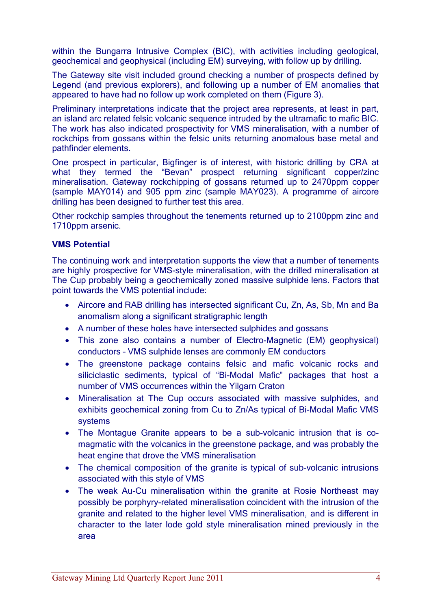within the Bungarra Intrusive Complex (BIC), with activities including geological, geochemical and geophysical (including EM) surveying, with follow up by drilling.

The Gateway site visit included ground checking a number of prospects defined by Legend (and previous explorers), and following up a number of EM anomalies that appeared to have had no follow up work completed on them (Figure 3).

Preliminary interpretations indicate that the project area represents, at least in part, an island arc related felsic volcanic sequence intruded by the ultramafic to mafic BIC. The work has also indicated prospectivity for VMS mineralisation, with a number of rockchips from gossans within the felsic units returning anomalous base metal and pathfinder elements.

One prospect in particular, Bigfinger is of interest, with historic drilling by CRA at what they termed the "Bevan" prospect returning significant copper/zinc mineralisation. Gateway rockchipping of gossans returned up to 2470ppm copper (sample MAY014) and 905 ppm zinc (sample MAY023). A programme of aircore drilling has been designed to further test this area.

Other rockchip samples throughout the tenements returned up to 2100ppm zinc and 1710ppm arsenic.

#### **VMS Potential**

The continuing work and interpretation supports the view that a number of tenements are highly prospective for VMS-style mineralisation, with the drilled mineralisation at The Cup probably being a geochemically zoned massive sulphide lens. Factors that point towards the VMS potential include:

- Aircore and RAB drilling has intersected significant Cu, Zn, As, Sb, Mn and Ba anomalism along a significant stratigraphic length
- A number of these holes have intersected sulphides and gossans
- This zone also contains a number of Electro-Magnetic (EM) geophysical) conductors – VMS sulphide lenses are commonly EM conductors
- The greenstone package contains felsic and mafic volcanic rocks and siliciclastic sediments, typical of "Bi-Modal Mafic" packages that host a number of VMS occurrences within the Yilgarn Craton
- Mineralisation at The Cup occurs associated with massive sulphides, and exhibits geochemical zoning from Cu to Zn/As typical of Bi-Modal Mafic VMS systems
- The Montague Granite appears to be a sub-volcanic intrusion that is comagmatic with the volcanics in the greenstone package, and was probably the heat engine that drove the VMS mineralisation
- The chemical composition of the granite is typical of sub-volcanic intrusions associated with this style of VMS
- The weak Au-Cu mineralisation within the granite at Rosie Northeast may possibly be porphyry-related mineralisation coincident with the intrusion of the granite and related to the higher level VMS mineralisation, and is different in character to the later lode gold style mineralisation mined previously in the area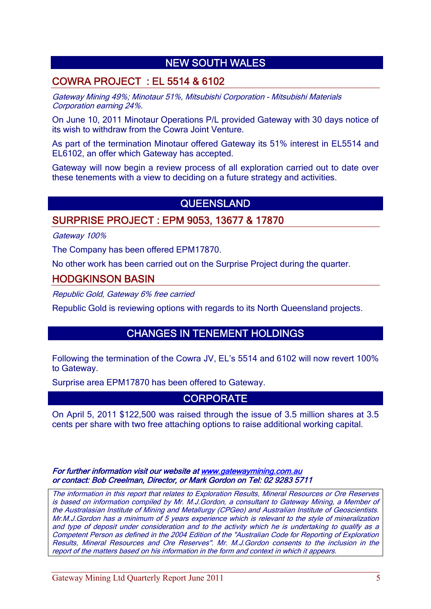## NEW SOUTH WALES

## COWRA PROJECT : EL 5514 & 6102

Gateway Mining 49%; Minotaur 51%, Mitsubishi Corporation - Mitsubishi Materials Corporation earning 24%.

On June 10, 2011 Minotaur Operations P/L provided Gateway with 30 days notice of its wish to withdraw from the Cowra Joint Venture.

As part of the termination Minotaur offered Gateway its 51% interest in EL5514 and EL6102, an offer which Gateway has accepted.

Gateway will now begin a review process of all exploration carried out to date over these tenements with a view to deciding on a future strategy and activities.

## QUEENSLAND

#### SURPRISE PROJECT : EPM 9053, 13677 & 17870

Gateway 100%

The Company has been offered EPM17870.

No other work has been carried out on the Surprise Project during the quarter.

#### HODGKINSON BASIN

Republic Gold, Gateway 6% free carried

Republic Gold is reviewing options with regards to its North Queensland projects.

## CHANGES IN TENEMENT HOLDINGS

Following the termination of the Cowra JV, EL's 5514 and 6102 will now revert 100% to Gateway.

Surprise area EPM17870 has been offered to Gateway.

### **CORPORATE**

On April 5, 2011 \$122,500 was raised through the issue of 3.5 million shares at 3.5 cents per share with two free attaching options to raise additional working capital.

For further information visit our website at www.gatewaymining.com.au or contact: Bob Creelman, Director, or Mark Gordon on Tel: 02 9283 5711

The information in this report that relates to Exploration Results, Mineral Resources or Ore Reserves is based on information compiled by Mr. M.J.Gordon, a consultant to Gateway Mining, a Member of the Australasian Institute of Mining and Metallurgy (CPGeo) and Australian Institute of Geoscientists. Mr.M.J.Gordon has a minimum of 5 years experience which is relevant to the style of mineralization and type of deposit under consideration and to the activity which he is undertaking to qualify as a Competent Person as defined in the 2004 Edition of the "Australian Code for Reporting of Exploration Results, Mineral Resources and Ore Reserves". Mr. M.J.Gordon consents to the inclusion in the report of the matters based on his information in the form and context in which it appears.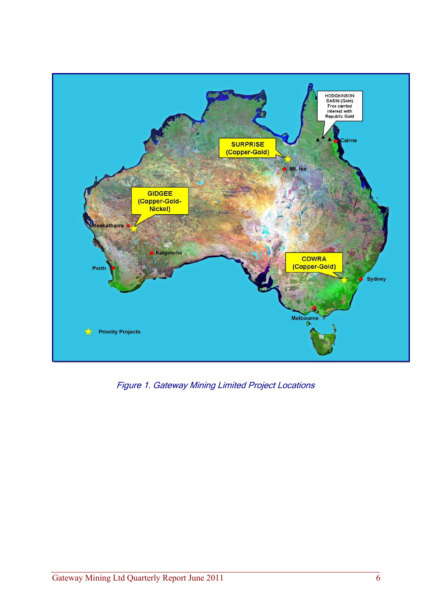

Figure 1. Gateway Mining Limited Project Locations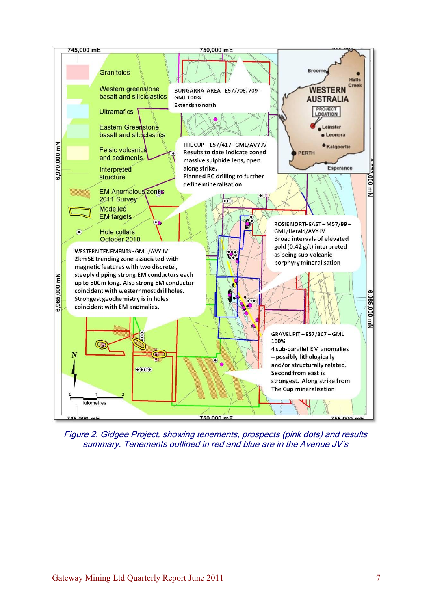

Figure 2. Gidgee Project, showing tenements, prospects (pink dots) and results summary. Tenements outlined in red and blue are in the Avenue JV's